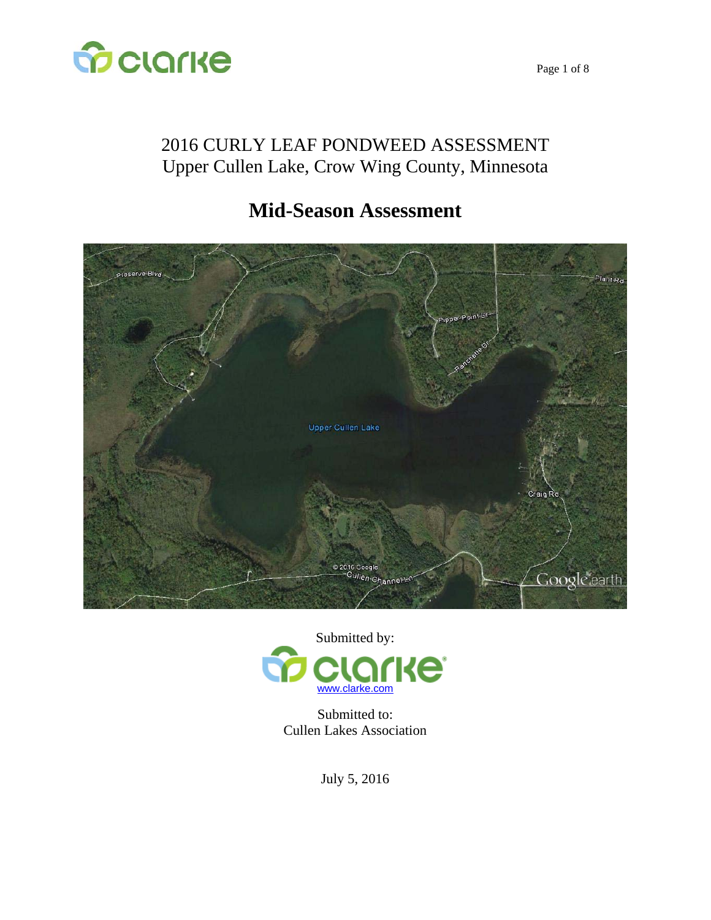

## 2016 CURLY LEAF PONDWEED ASSESSMENT Upper Cullen Lake, Crow Wing County, Minnesota

# **Mid-Season Assessment**





Submitted to: Cullen Lakes Association

July 5, 2016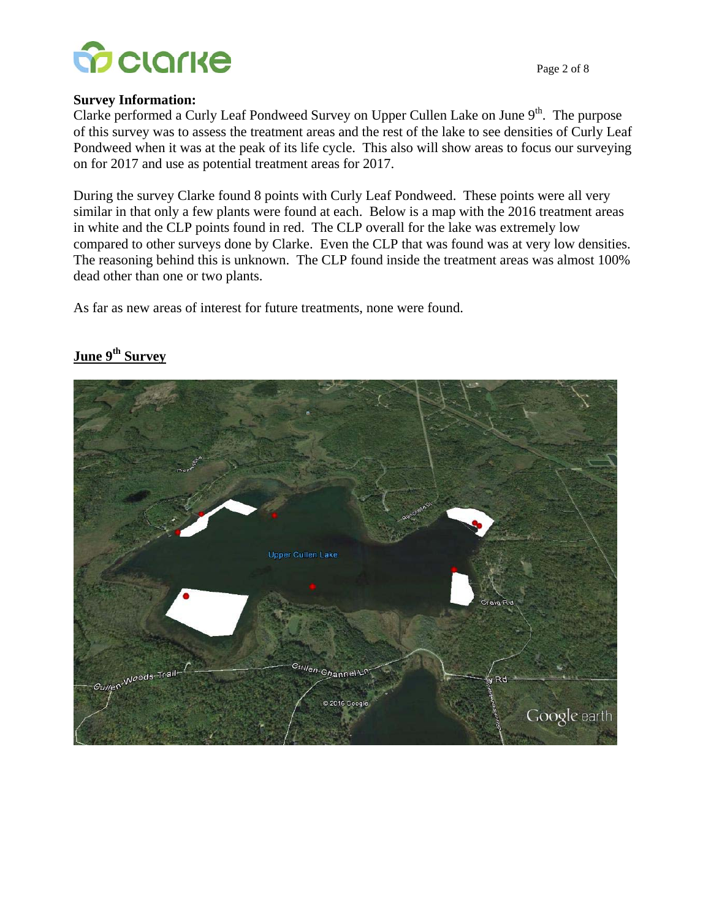

#### **Survey Information:**

Clarke performed a Curly Leaf Pondweed Survey on Upper Cullen Lake on June  $9<sup>th</sup>$ . The purpose of this survey was to assess the treatment areas and the rest of the lake to see densities of Curly Leaf Pondweed when it was at the peak of its life cycle. This also will show areas to focus our surveying on for 2017 and use as potential treatment areas for 2017.

During the survey Clarke found 8 points with Curly Leaf Pondweed. These points were all very similar in that only a few plants were found at each. Below is a map with the 2016 treatment areas in white and the CLP points found in red. The CLP overall for the lake was extremely low compared to other surveys done by Clarke. Even the CLP that was found was at very low densities. The reasoning behind this is unknown. The CLP found inside the treatment areas was almost 100% dead other than one or two plants.

As far as new areas of interest for future treatments, none were found.

# **Upper Cullen Lake**  $-c_{U/\text{e}}$ <sup>Noods-Trail-</sup> <sup>Su</sup>llen-Channel-c<sup>r</sup> 2016 Googl Google earth

#### June 9<sup>th</sup> Survey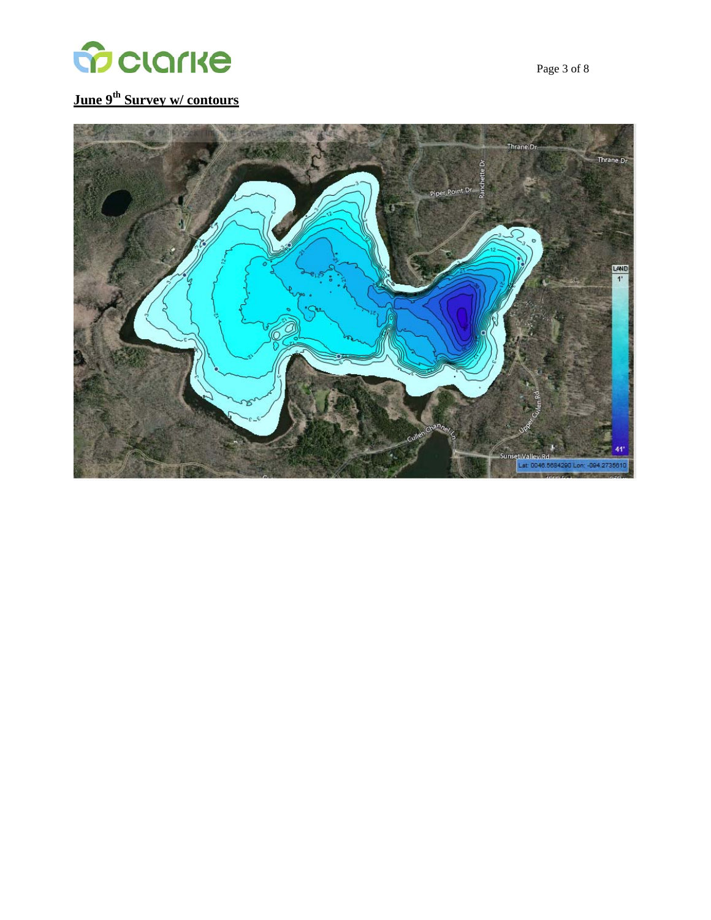

## **June 9th Survey w/ contours**

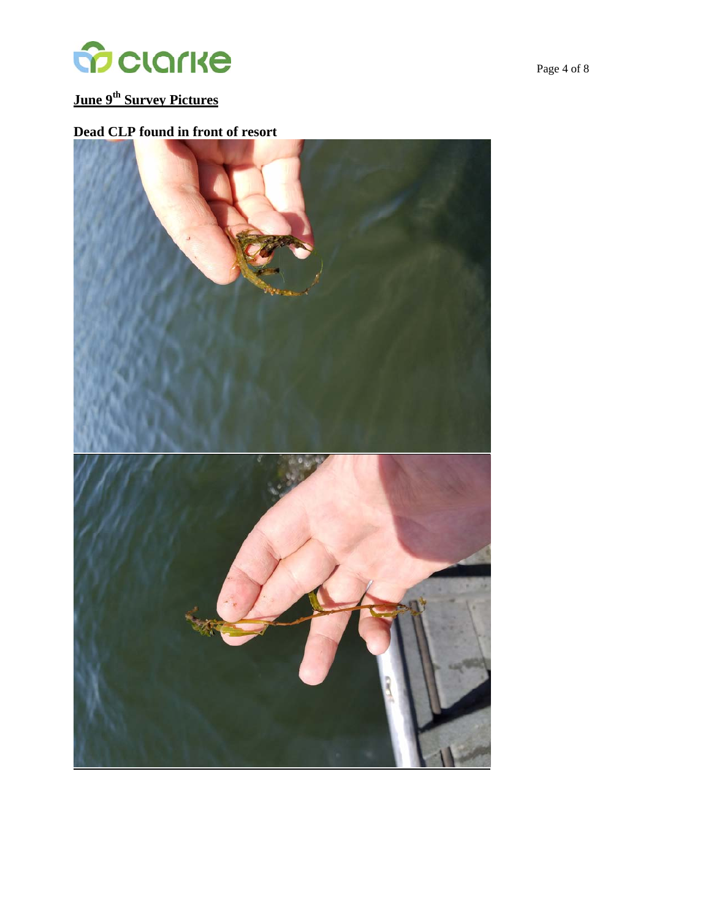

## **June 9th Survey Pictures**

#### **Dead CLP found in front of resort**

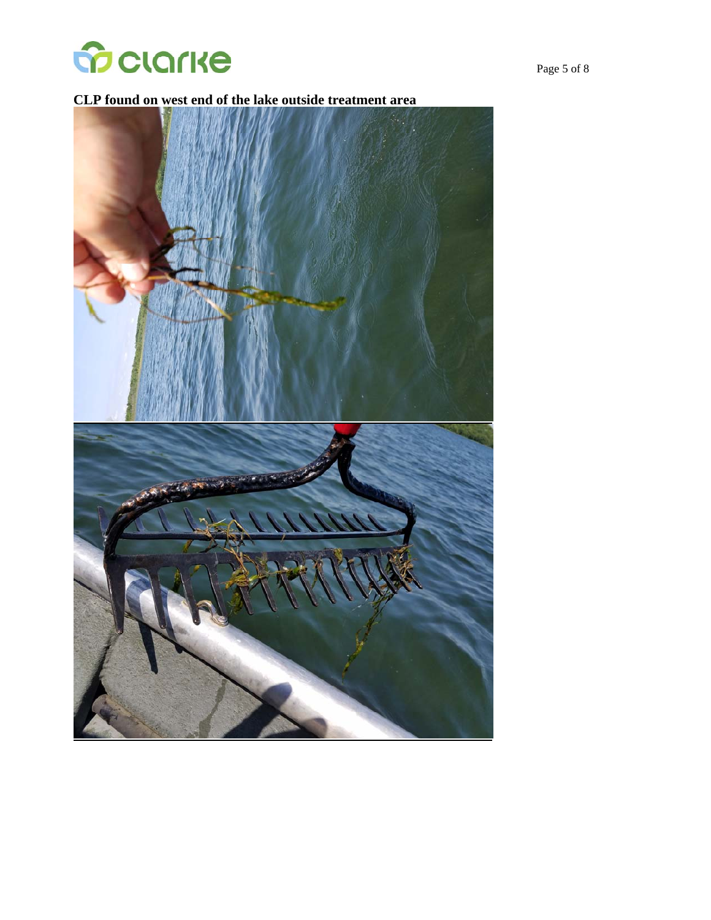

#### **CLP found on west end of the lake outside treatment area**

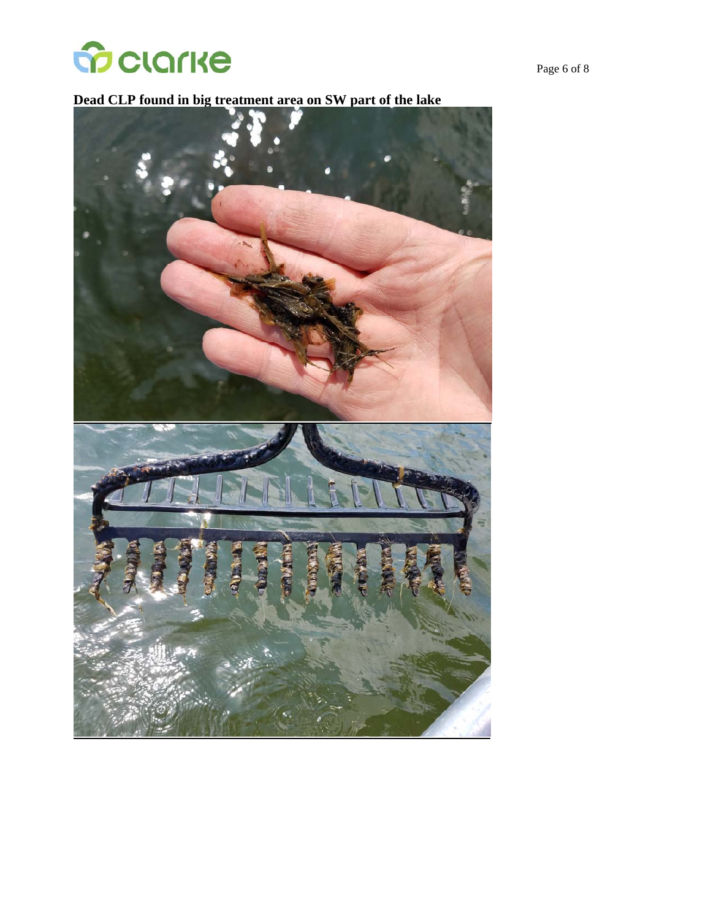

#### **Dead CLP found in big treatment area on SW part of the lake**

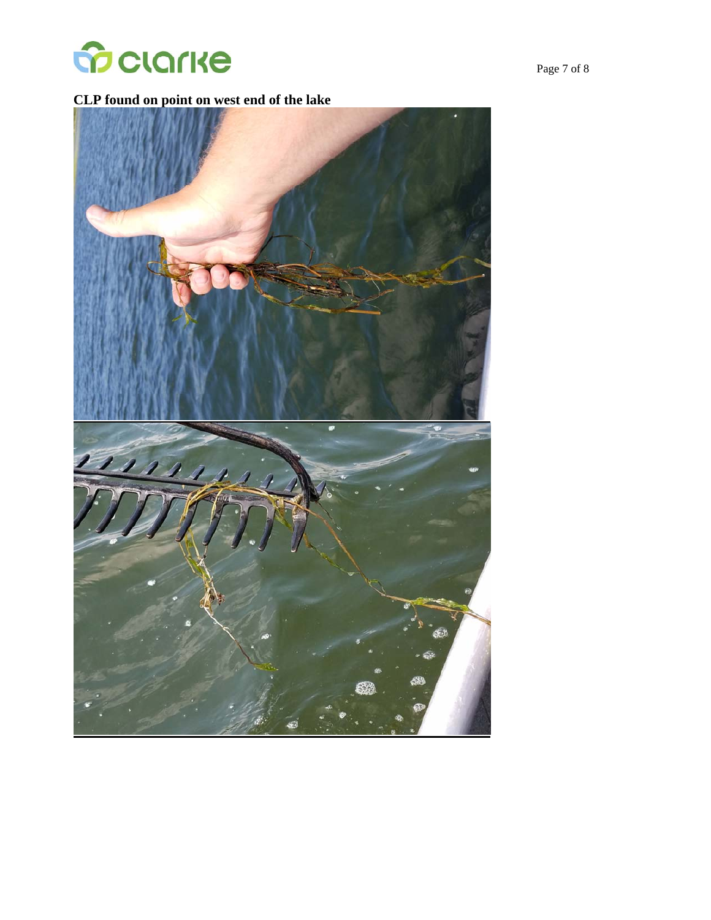

#### **CLP found on point on west end of the lake**